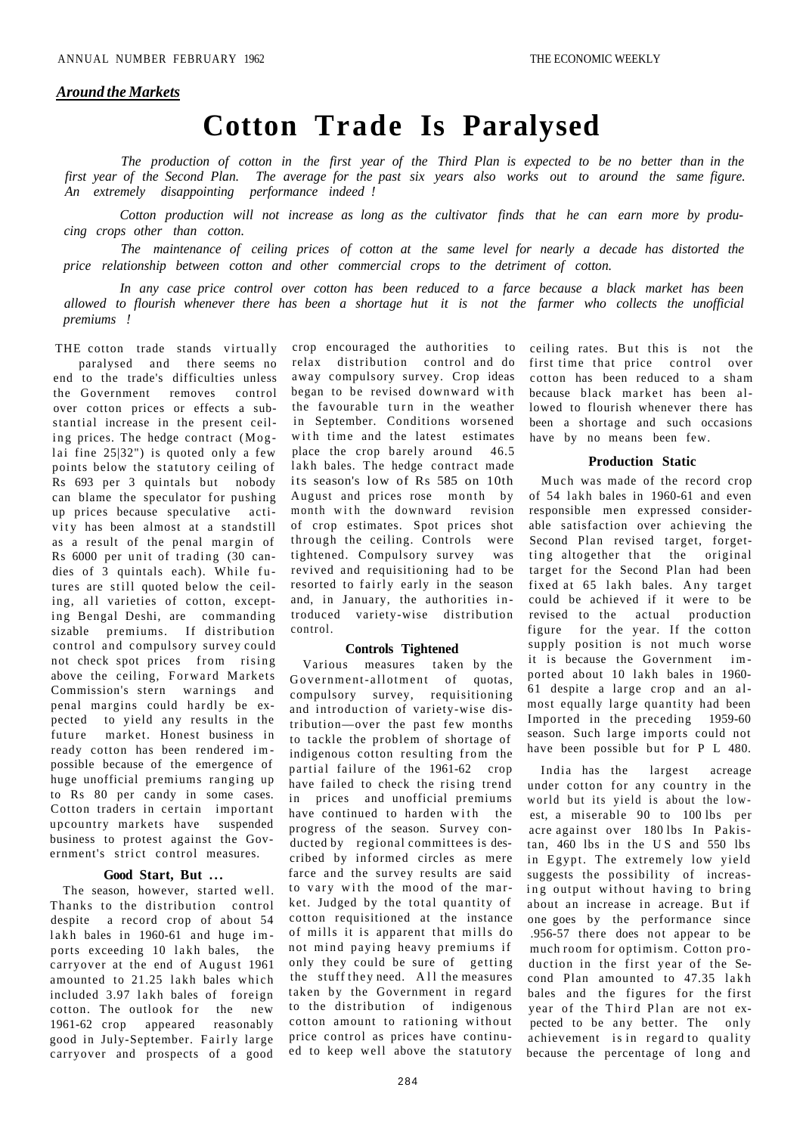### *Around the Markets*

## **Cotton Trade Is Paralysed**

*The production of cotton in the first year of the Third Plan is expected to be no better than in the first year of the Second Plan. The average for the past six years also works out to around the same figure. An extremely disappointing performance indeed !* 

*Cotton production will not increase as long as the cultivator finds that he can earn more by producing crops other than cotton.* 

*The maintenance of ceiling prices of cotton at the same level for nearly a decade has distorted the price relationship between cotton and other commercial crops to the detriment of cotton.* 

*In any case price control over cotton has been reduced to a farce because a black market has been allowed to flourish whenever there has been a shortage hut it is not the farmer who collects the unofficial premiums !* 

THE cotton trade stands virtually paralysed and there seems no end to the trade's difficulties unless the Government removes control over cotton prices or effects a substantial increase in the present ceiling prices. The hedge contract  $(Mog$ lai fine  $25|32"$ ) is quoted only a few points below the statutory ceiling of Rs 693 per 3 quintals but nobody can blame the speculator for pushing up prices because speculative activity has been almost at a standstill as a result of the penal margin of Rs 6000 per unit of trading (30 candies of 3 quintals each). While futures are still quoted below the ceiling, all varieties of cotton, excepting Bengal Deshi, are commanding sizable premiums. If distribution control and compulsory survey could not check spot prices from rising above the ceiling, Forward Markets Commission's stern warnings and penal margins could hardly be expected to yield any results in the future market. Honest business in ready cotton has been rendered im possible because of the emergence of huge unofficial premiums ranging up to Rs 80 per candy in some cases. Cotton traders in certain important upcountry markets have suspended business to protest against the Government's strict control measures.

### **Good Start, But .. .**

The season, however, started well. Thanks to the distribution control despite a record crop of about 54 lakh bales in  $1960-61$  and huge imports exceeding 10 lakh bales, the carryover at the end of August 1961 amounted to 21.25 lakh bales which included 3.97 lakh bales of foreign cotton. The outlook for the new 1961-62 crop appeared reasonably good in July-September. Fairly large carryover and prospects of a good

crop encouraged the authorities to relax distribution control and do away compulsory survey. Crop ideas began to be revised downward with the favourable turn in the weather in September. Conditions worsened with time and the latest estimates place the crop barely around 46.5 lakh bales. The hedge contract made its season's low of Rs 585 on 10th August and prices rose month by month with the downward revision of crop estimates. Spot prices shot through the ceiling. Controls were tightened. Compulsory survey was revived and requisitioning had to be resorted to fairly early in the season and, in January, the authorities in troduced variety-wise distribution control.

### **Controls Tightened**

Various measures taken by the Government-allotment of quotas, compulsory survey, requisitioning and introduction of variety-wise distribution—over the past few months to tackle the problem of shortage of indigenous cotton resulting from the partial failure of the 1961-62 crop have failed to check the rising trend in prices and unofficial premiums have continued to harden with the progress of the season. Survey conducted by regional committees is described by informed circles as mere farce and the survey results are said to vary with the mood of the market. Judged by the total quantity of cotton requisitioned at the instance of mills it is apparent that mills do not mind paying heavy premiums if only they could be sure of getting the stuff they need. All the measures taken by the Government in regard to the distribution of indigenous cotton amount to rationing without price control as prices have continued to keep well above the statutory ceiling rates. But this is not the first time that price control over cotton has been reduced to a sham because black market has been allowed to flourish whenever there has been a shortage and such occasions have by no means been few.

### **Production Static**

Much was made of the record crop of 54 lakh bales in 1960-61 and even responsible men expressed considerable satisfaction over achieving the Second Plan revised target, forgetting altogether that the original target for the Second Plan had been fixed at 65 lakh bales. Any target could be achieved if it were to be revised to the actual production figure for the year. If the cotton supply position is not much worse it is because the Government im ported about 10 lakh bales in 1960- 61 despite a large crop and an almost equally large quantity had been Imported in the preceding 1959-60 season. Such large imports could not have been possible but for P L 480.

India has the largest acreage under cotton for any country in the world but its yield is about the lowest, a miserable 90 to 100 lbs per acre against over 180 lbs In Pakistan,  $460$  lbs in the US and  $550$  lbs in Egypt. The extremely low yield suggests the possibility of increasing output without having to bring about an increase in acreage. But if one goes by the performance since .956-57 there does not appear to be much room for optimism. Cotton production in the first year of the Second Plan amounted to 47.35 lakh bales and the figures for the first year of the Third Plan are not expected to be any better. The only achievement is in regard to quality because the percentage of long and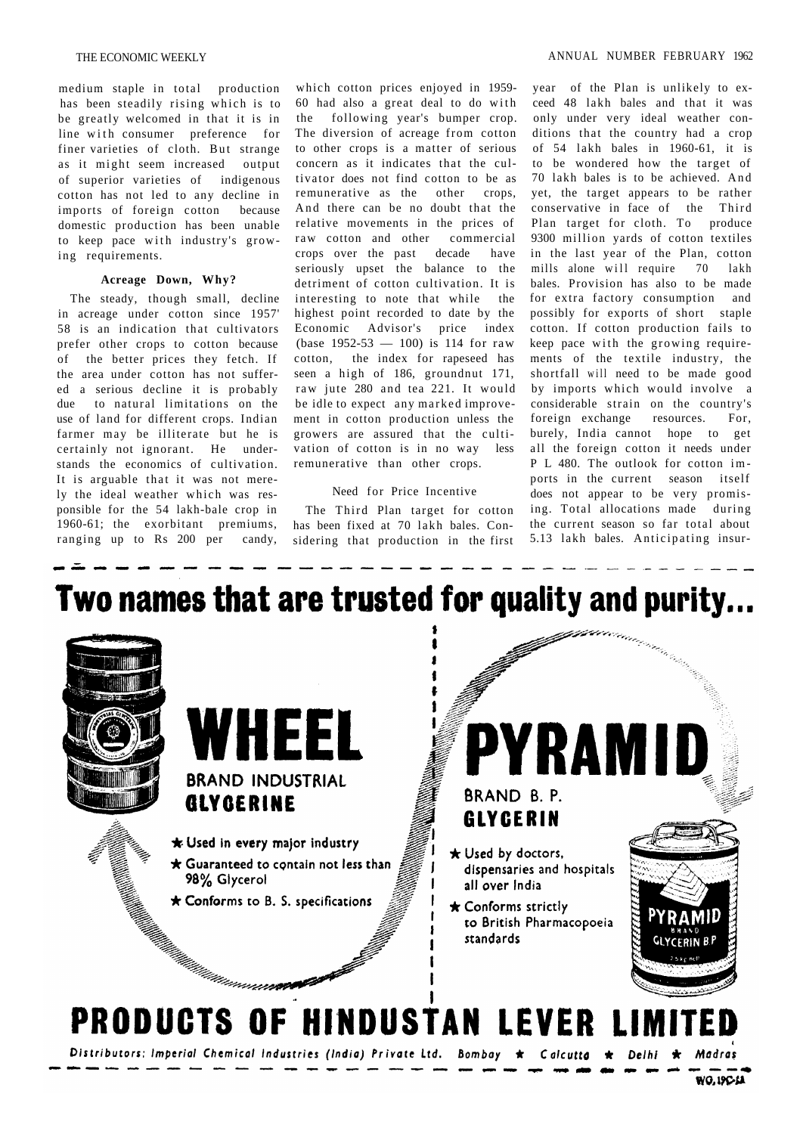medium staple in total production has been steadily rising which is to be greatly welcomed in that it is in line with consumer preference for finer varieties of cloth. But strange as it might seem increased output of superior varieties of indigenous cotton has not led to any decline in imports of foreign cotton because domestic production has been unable to keep pace with industry's growing requirements.

#### **Acreage Down, Why?**

The steady, though small, decline in acreage under cotton since 1957' 58 is an indication that cultivators prefer other crops to cotton because of the better prices they fetch. If the area under cotton has not suffered a serious decline it is probably due to natural limitations on the use of land for different crops. Indian farmer may be illiterate but he is certainly not ignorant. He understands the economics of cultivation. It is arguable that it was not merely the ideal weather which was responsible for the 54 lakh-bale crop in 1960-61; the exorbitant premiums, ranging up to Rs 200 per candy,

which cotton prices enjoyed in 1959- 60 had also a great deal to do with the following year's bumper crop. The diversion of acreage from cotton to other crops is a matter of serious concern as it indicates that the cultivator does not find cotton to be as remunerative as the other crops, And there can be no doubt that the relative movements in the prices of raw cotton and other commercial crops over the past decade have seriously upset the balance to the detriment of cotton cultivation. It is interesting to note that while the highest point recorded to date by the Economic Advisor's price index (base  $1952-53 - 100$ ) is 114 for raw cotton, the index for rapeseed has seen a high of 186, groundnut 171, raw jute 280 and tea 221. It would be idle to expect any marked improvement in cotton production unless the growers are assured that the cultivation of cotton is in no way less remunerative than other crops.

### Need for Price Incentive

The Third Plan target for cotton has been fixed at 70 lakh bales. Considering that production in the first

year of the Plan is unlikely to exceed 48 lakh bales and that it was only under very ideal weather conditions that the country had a crop of 54 lakh bales in 1960-61, it is to be wondered how the target of 70 lakh bales is to be achieved. An d yet, the target appears to be rather conservative in face of the Third Plan target for cloth. To produce 9300 million yards of cotton textiles in the last year of the Plan, cotton mills alone will require 70 lakh bales. Provision has also to be made for extra factory consumption and possibly for exports of short staple cotton. If cotton production fails to keep pace with the growing requirements of the textile industry, the shortfall will need to be made good by imports which would involve a considerable strain on the country's foreign exchange resources. For, burely, India cannot hope to get all the foreign cotton it needs under P L 480. The outlook for cotton imports in the current season itself does not appear to be very promising. Total allocations made during the current season so far total about 5.13 lakh bales. Anticipating insur-

# Two names that are trusted for quality and purity...



WO, IPC-LA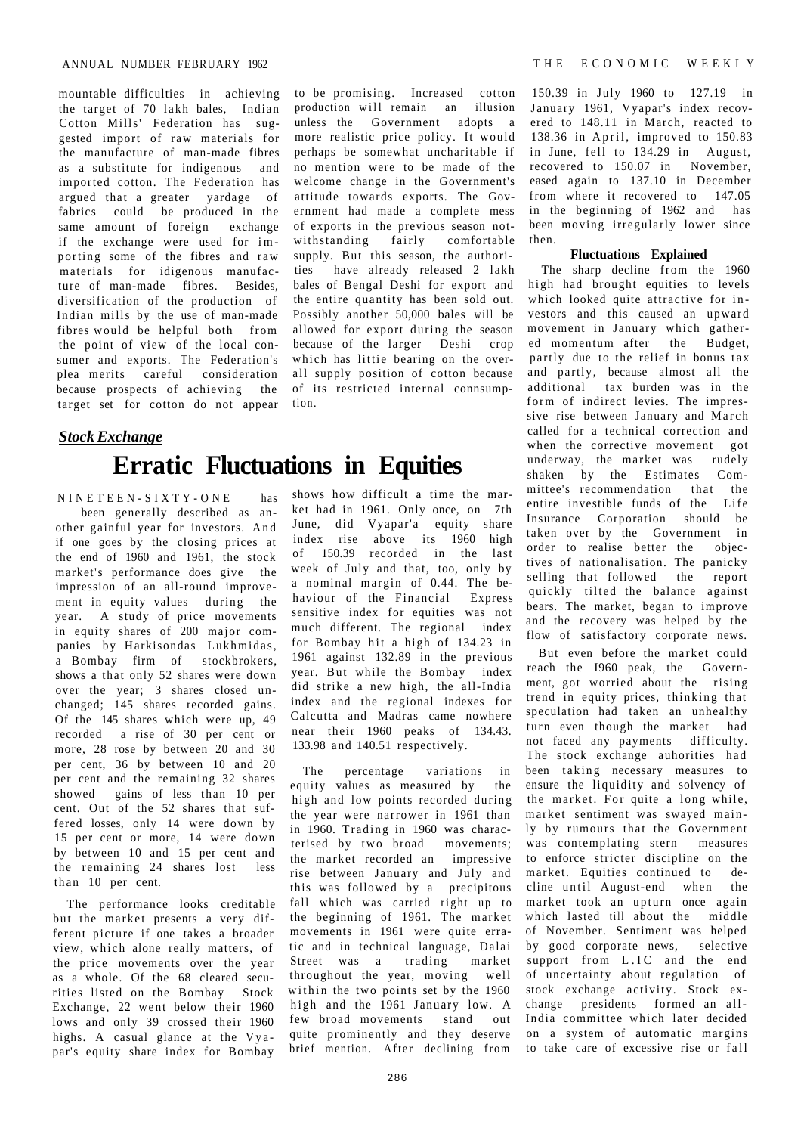mountable difficulties in achieving the target of 70 lakh bales, Indian Cotton Mills' Federation has suggested import of raw materials for the manufacture of man-made fibres as a substitute for indigenous and imported cotton. The Federation has argued that a greater yardage of fabrics could be produced in the same amount of foreign exchange if the exchange were used for im porting some of the fibres and raw materials for idigenous manufacture of man-made fibres. Besides, diversification of the production of Indian mills by the use of man-made fibres would be helpful both from the point of view of the local consumer and exports. The Federation's plea merits careful consideration because prospects of achieving the target set for cotton do not appear

### **Erratic Fluctuations in Equities**  *Stock Exchange*

NINETEEN-SIXTY-ON E has been generally described as another gainful year for investors. An d if one goes by the closing prices at the end of 1960 and 1961, the stock market's performance does give the impression of an all-round improvement in equity values during the year. A study of price movements in equity shares of 200 major companies by Harkisondas Lukhmidas, a Bombay firm of stockbrokers, shows a that only 52 shares were down over the year; 3 shares closed unchanged; 145 shares recorded gains. Of the 145 shares which were up, 49 recorded a rise of 30 per cent or more, 28 rose by between 20 and 30 per cent, 36 by between 10 and 20 per cent and the remaining 32 shares showed gains of less than 10 per cent. Out of the 52 shares that suffered losses, only 14 were down by 15 per cent or more, 14 were down by between 10 and 15 per cent and the remaining 24 shares lost less than 10 per cent.

The performance looks creditable but the market presents a very different picture if one takes a broader view, which alone really matters, of the price movements over the year as a whole. Of the 68 cleared securities listed on the Bombay Stock Exchange, 22 went below their 1960 lows and only 39 crossed their 1960 highs. A casual glance at the Vyapar's equity share index for Bombay

to be promising. Increased cotton production will remain an illusion unless the Government adopts a more realistic price policy. It would perhaps be somewhat uncharitable if no mention were to be made of the welcome change in the Government's attitude towards exports. The Government had made a complete mess of exports in the previous season notwithstanding fairly comfortable supply. But this season, the authorities have already released 2 lakh bales of Bengal Deshi for export and the entire quantity has been sold out. Possibly another 50,000 bales will be allowed for export during the season because of the larger Deshi crop which has littie bearing on the overall supply position of cotton because of its restricted internal connsumption.

shows how difficult a time the market had in 1961. Only once, on 7th June, did Vyapar'a equity share index rise above its 1960 high of 150.39 recorded in the last week of July and that, too, only by a nominal margin of 0.44. The behaviour of the Financial Express sensitive index for equities was not much different. The regional index for Bombay hit a high of 134.23 in 1961 against 132.89 in the previous year. But while the Bombay index did strike a new high, the all-India index and the regional indexes for Calcutta and Madras came nowhere near their 1960 peaks of 134.43. 133.98 and 140.51 respectively.

The percentage variations in equity values as measured by the high and low points recorded during the year were narrower in 1961 than in 1960. Trading in 1960 was characterised by two broad movements; the market recorded an impressive rise between January and July and this was followed by a precipitous fall which was carried right up to the beginning of 1961. The market movements in 1961 were quite erratic and in technical language, Dalai Street was a trading market throughout the year, moving well within the two points set by the 1960 high and the 1961 January low. A few broad movements stand out quite prominently and they deserve brief mention. After declining from

150.39 in July 1960 to 127.19 in January 1961, Vyapar's index recovered to 148.11 in March, reacted to 138.36 in April, improved to 150.83 in June, fell to 134.29 in August, recovered to 150.07 in November, eased again to 137.10 in December from where it recovered to 147.05 in the beginning of 1962 and has been moving irregularly lower since then.

### **Fluctuations Explained**

The sharp decline from the 1960 high had brought equities to levels which looked quite attractive for investors and this caused an upward movement in January which gathered momentum after the Budget, partly due to the relief in bonus tax and partly, because almost all the additional tax burden was in the form of indirect levies. The impressive rise between January and March called for a technical correction and when the corrective movement got underway, the market was rudely shaken by the Estimates Committee's recommendation that the entire investible funds of the Life Insurance Corporation should be taken over by the Government in order to realise better the objectives of nationalisation. The panicky selling that followed the report quickly tilted the balance against bears. The market, began to improve and the recovery was helped by the flow of satisfactory corporate news.

But even before the market could reach the I960 peak, the Government, got worried about the rising trend in equity prices, thinking that speculation had taken an unhealthy turn even though the market had not faced any payments difficulty. The stock exchange auhorities had been taking necessary measures to ensure the liquidity and solvency of the market. For quite a long while, market sentiment was swayed mainly by rumours that the Government was contemplating stern measures to enforce stricter discipline on the market. Equities continued to decline until August-end when the market took an upturn once again which lasted till about the middle of November. Sentiment was helped by good corporate news, selective support from L.IC and the end of uncertainty about regulation of stock exchange activity. Stock exchange presidents formed an all-India committee which later decided on a system of automatic margins to take care of excessive rise or fall